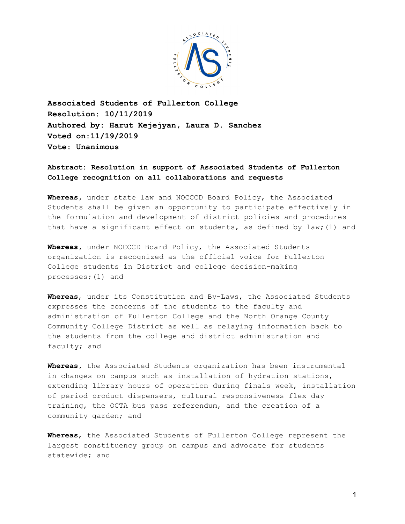

**Associated Students of Fullerton College Resolution: 10/11/2019 Authored by: Harut Kejejyan, Laura D. Sanchez Voted on:11/19/2019 Vote: Unanimous**

## **Abstract: Resolution in support of Associated Students of Fullerton College recognition on all collaborations and requests**

**Whereas,** under state law and NOCCCD Board Policy, the Associated Students shall be given an opportunity to participate effectively in the formulation and development of district policies and procedures that have a significant effect on students, as defined by law;(1) and

**Whereas,** under NOCCCD Board Policy, the Associated Students organization is recognized as the official voice for Fullerton College students in District and college decision-making processes;(1) and

**Whereas**, under its Constitution and By-Laws, the Associated Students expresses the concerns of the students to the faculty and administration of Fullerton College and the North Orange County Community College District as well as relaying information back to the students from the college and district administration and faculty; and

**Whereas,** the Associated Students organization has been instrumental in changes on campus such as installation of hydration stations, extending library hours of operation during finals week, installation of period product dispensers, cultural responsiveness flex day training, the OCTA bus pass referendum, and the creation of a community garden; and

**Whereas**, the Associated Students of Fullerton College represent the largest constituency group on campus and advocate for students statewide; and